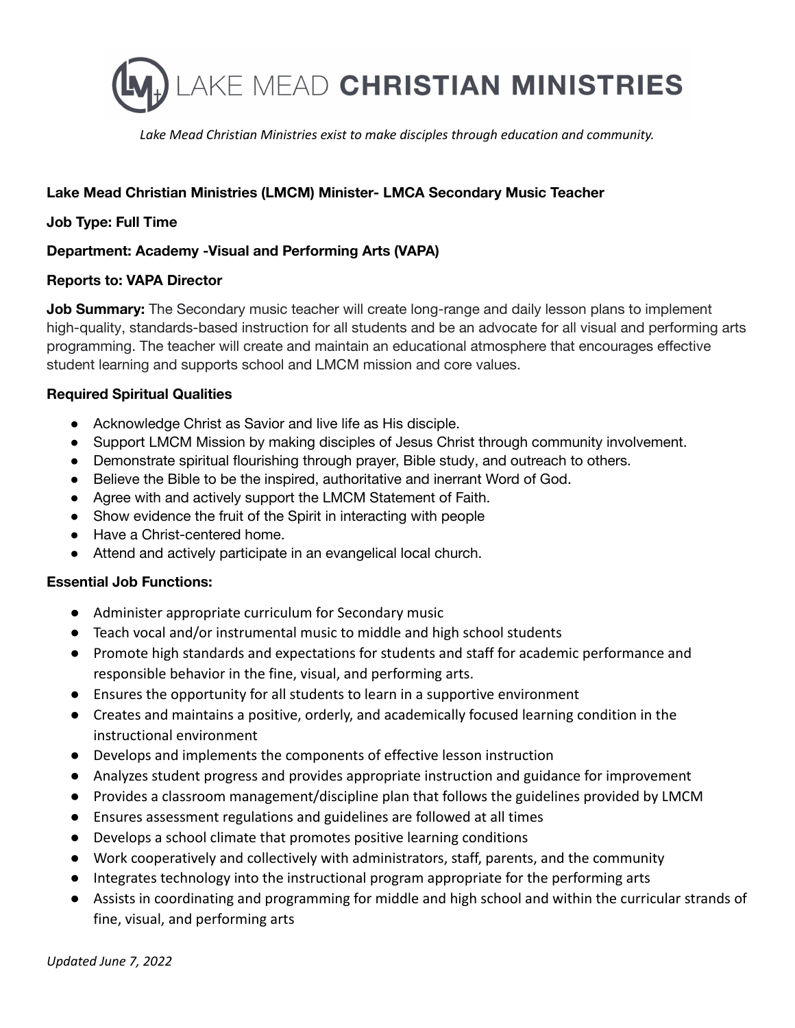

*Lake Mead Christian Ministries exist to make disciples through education and community.*

# **Lake Mead Christian Ministries (LMCM) Minister- LMCA Secondary Music Teacher**

## **Job Type: Full Time**

## **Department: Academy -Visual and Performing Arts (VAPA)**

#### **Reports to: VAPA Director**

**Job Summary:** The Secondary music teacher will create long-range and daily lesson plans to implement high-quality, standards-based instruction for all students and be an advocate for all visual and performing arts programming. The teacher will create and maintain an educational atmosphere that encourages effective student learning and supports school and LMCM mission and core values.

## **Required Spiritual Qualities**

- Acknowledge Christ as Savior and live life as His disciple.
- Support LMCM Mission by making disciples of Jesus Christ through community involvement.
- Demonstrate spiritual flourishing through prayer, Bible study, and outreach to others.
- Believe the Bible to be the inspired, authoritative and inerrant Word of God.
- Agree with and actively support the LMCM Statement of Faith.
- Show evidence the fruit of the Spirit in interacting with people
- Have a Christ-centered home.
- Attend and actively participate in an evangelical local church.

#### **Essential Job Functions:**

- Administer appropriate curriculum for Secondary music
- Teach vocal and/or instrumental music to middle and high school students
- Promote high standards and expectations for students and staff for academic performance and responsible behavior in the fine, visual, and performing arts.
- Ensures the opportunity for all students to learn in a supportive environment
- Creates and maintains a positive, orderly, and academically focused learning condition in the instructional environment
- Develops and implements the components of effective lesson instruction
- Analyzes student progress and provides appropriate instruction and guidance for improvement
- Provides a classroom management/discipline plan that follows the guidelines provided by LMCM
- Ensures assessment regulations and guidelines are followed at all times
- Develops a school climate that promotes positive learning conditions
- Work cooperatively and collectively with administrators, staff, parents, and the community
- Integrates technology into the instructional program appropriate for the performing arts
- Assists in coordinating and programming for middle and high school and within the curricular strands of fine, visual, and performing arts